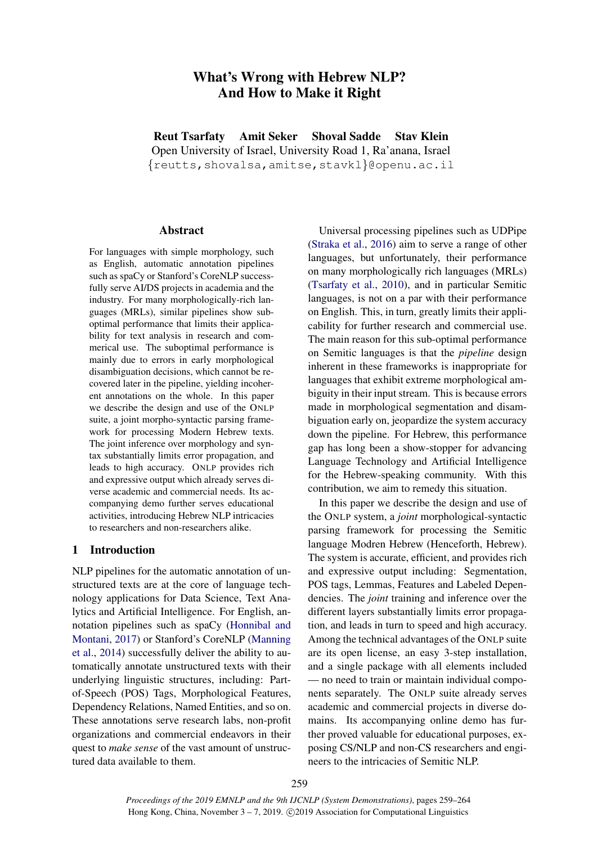# What's Wrong with Hebrew NLP? And How to Make it Right

Reut Tsarfaty Amit Seker Shoval Sadde Stav Klein Open University of Israel, University Road 1, Ra'anana, Israel {reutts,shovalsa,amitse,stavkl}@openu.ac.il

### Abstract

For languages with simple morphology, such as English, automatic annotation pipelines such as spaCy or Stanford's CoreNLP successfully serve AI/DS projects in academia and the industry. For many morphologically-rich languages (MRLs), similar pipelines show suboptimal performance that limits their applicability for text analysis in research and commerical use. The suboptimal performance is mainly due to errors in early morphological disambiguation decisions, which cannot be recovered later in the pipeline, yielding incoherent annotations on the whole. In this paper we describe the design and use of the ONLP suite, a joint morpho-syntactic parsing framework for processing Modern Hebrew texts. The joint inference over morphology and syntax substantially limits error propagation, and leads to high accuracy. ONLP provides rich and expressive output which already serves diverse academic and commercial needs. Its accompanying demo further serves educational activities, introducing Hebrew NLP intricacies to researchers and non-researchers alike.

### 1 Introduction

NLP pipelines for the automatic annotation of unstructured texts are at the core of language technology applications for Data Science, Text Analytics and Artificial Intelligence. For English, annotation pipelines such as spaCy [\(Honnibal and](#page-5-0) [Montani,](#page-5-0) [2017\)](#page-5-0) or Stanford's CoreNLP [\(Manning](#page-5-1) [et al.,](#page-5-1) [2014\)](#page-5-1) successfully deliver the ability to automatically annotate unstructured texts with their underlying linguistic structures, including: Partof-Speech (POS) Tags, Morphological Features, Dependency Relations, Named Entities, and so on. These annotations serve research labs, non-profit organizations and commercial endeavors in their quest to *make sense* of the vast amount of unstructured data available to them.

Universal processing pipelines such as UDPipe [\(Straka et al.,](#page-5-2) [2016\)](#page-5-2) aim to serve a range of other languages, but unfortunately, their performance on many morphologically rich languages (MRLs) [\(Tsarfaty et al.,](#page-5-3) [2010\)](#page-5-3), and in particular Semitic languages, is not on a par with their performance on English. This, in turn, greatly limits their applicability for further research and commercial use. The main reason for this sub-optimal performance on Semitic languages is that the *pipeline* design inherent in these frameworks is inappropriate for languages that exhibit extreme morphological ambiguity in their input stream. This is because errors made in morphological segmentation and disambiguation early on, jeopardize the system accuracy down the pipeline. For Hebrew, this performance gap has long been a show-stopper for advancing Language Technology and Artificial Intelligence for the Hebrew-speaking community. With this contribution, we aim to remedy this situation.

In this paper we describe the design and use of the ONLP system, a *joint* morphological-syntactic parsing framework for processing the Semitic language Modren Hebrew (Henceforth, Hebrew). The system is accurate, efficient, and provides rich and expressive output including: Segmentation, POS tags, Lemmas, Features and Labeled Dependencies. The *joint* training and inference over the different layers substantially limits error propagation, and leads in turn to speed and high accuracy. Among the technical advantages of the ONLP suite are its open license, an easy 3-step installation, and a single package with all elements included — no need to train or maintain individual components separately. The ONLP suite already serves academic and commercial projects in diverse domains. Its accompanying online demo has further proved valuable for educational purposes, exposing CS/NLP and non-CS researchers and engineers to the intricacies of Semitic NLP.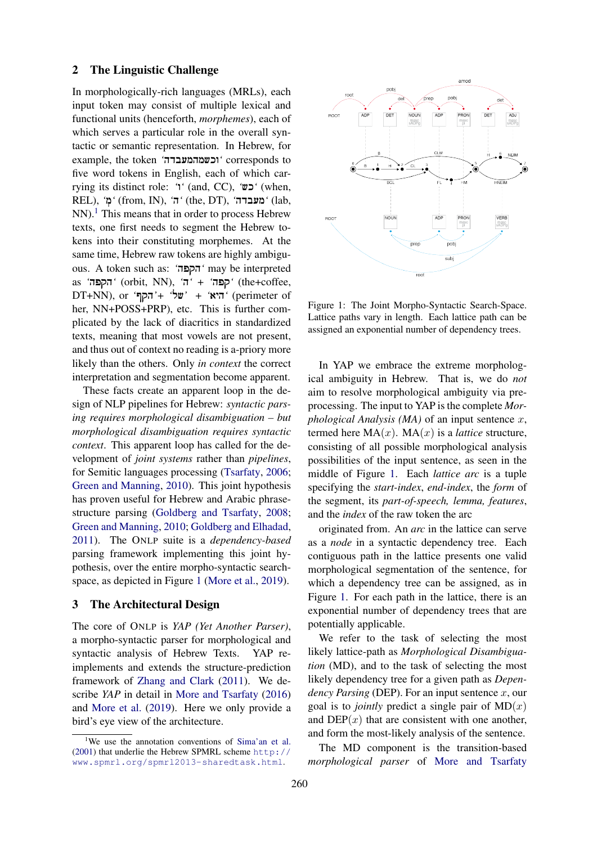#### 2 The Linguistic Challenge

In morphologically-rich languages (MRLs), each input token may consist of multiple lexical and functional units (henceforth, *morphemes*), each of which serves a particular role in the overall syntactic or semantic representation. In Hebrew, for example, the token *'*!וכשמהמעבדה *'*corresponds to five word tokens in English, each of which carrying its distinct role: *'*!ו) *'*and, CC), *'*!כש) *'*when, REL), 'מִ $'$  (from, IN), 'ה' (the, DT), 'מעבדה' (lab,  $NN$ ).<sup>[1](#page-1-0)</sup> This means that in order to process Hebrew texts, one first needs to segment the Hebrew tokens into their constituting morphemes. At the same time, Hebrew raw tokens are highly ambiguous. A token such as: *'*!הקפה *'*may be interpreted as *'*!הקפה) *'*orbit, NN), *'*!ה *'+*!*'* קפה) *'*the+coffee, DT+NN), or *'*!Pהק*'+*!*'* של *'+*!*'* היא) *'*perimeter of her, NN+POSS+PRP), etc. This is further complicated by the lack of diacritics in standardized texts, meaning that most vowels are not present, and thus out of context no reading is a-priory more likely than the others. Only *in context* the correct interpretation and segmentation become apparent.

These facts create an apparent loop in the design of NLP pipelines for Hebrew: *syntactic parsing requires morphological disambiguation – but morphological disambiguation requires syntactic context*. This apparent loop has called for the development of *joint systems* rather than *pipelines*, for Semitic languages processing [\(Tsarfaty,](#page-5-4) [2006;](#page-5-4) [Green and Manning,](#page-5-5) [2010\)](#page-5-5). This joint hypothesis has proven useful for Hebrew and Arabic phrasestructure parsing [\(Goldberg and Tsarfaty,](#page-5-6) [2008;](#page-5-6) [Green and Manning,](#page-5-5) [2010;](#page-5-5) [Goldberg and Elhadad,](#page-5-7) [2011\)](#page-5-7). The ONLP suite is a *dependency-based* parsing framework implementing this joint hypothesis, over the entire morpho-syntactic searchspace, as depicted in Figure [1](#page-1-1) [\(More et al.,](#page-5-8) [2019\)](#page-5-8).

### <span id="page-1-2"></span>3 The Architectural Design

The core of ONLP is *YAP (Yet Another Parser)*, a morpho-syntactic parser for morphological and syntactic analysis of Hebrew Texts. YAP reimplements and extends the structure-prediction framework of [Zhang and Clark](#page-5-9) [\(2011\)](#page-5-9). We describe *YAP* in detail in [More and Tsarfaty](#page-5-10) [\(2016\)](#page-5-10) and [More et al.](#page-5-8) [\(2019\)](#page-5-8). Here we only provide a bird's eye view of the architecture.

<span id="page-1-1"></span>

Figure 1: The Joint Morpho-Syntactic Search-Space. Lattice paths vary in length. Each lattice path can be assigned an exponential number of dependency trees.

In YAP we embrace the extreme morphological ambiguity in Hebrew. That is, we do *not* aim to resolve morphological ambiguity via preprocessing. The input to YAP is the complete *Morphological Analysis (MA)* of an input sentence x, termed here  $MA(x)$ .  $MA(x)$  is a *lattice* structure, consisting of all possible morphological analysis possibilities of the input sentence, as seen in the middle of Figure [1.](#page-1-1) Each *lattice arc* is a tuple specifying the *start-index*, *end-index*, the *form* of the segment, its *part-of-speech, lemma, features*, and the *index* of the raw token the arc

originated from. An *arc* in the lattice can serve as a *node* in a syntactic dependency tree. Each contiguous path in the lattice presents one valid morphological segmentation of the sentence, for which a dependency tree can be assigned, as in Figure [1.](#page-1-1) For each path in the lattice, there is an exponential number of dependency trees that are potentially applicable.

We refer to the task of selecting the most likely lattice-path as *Morphological Disambiguation* (MD), and to the task of selecting the most likely dependency tree for a given path as *Dependency Parsing* (DEP). For an input sentence  $x$ , our goal is to *jointly* predict a single pair of  $MD(x)$ and  $DEP(x)$  that are consistent with one another, and form the most-likely analysis of the sentence.

The MD component is the transition-based *morphological parser* of [More and Tsarfaty](#page-5-10)

<span id="page-1-0"></span><sup>&</sup>lt;sup>1</sup>We use the annotation conventions of [Sima'an et al.](#page-5-11) [\(2001\)](#page-5-11) that underlie the Hebrew SPMRL scheme [http://](http://www.spmrl.org/spmrl2013-sharedtask.html) [www.spmrl.org/spmrl2013-sharedtask.html](http://www.spmrl.org/spmrl2013-sharedtask.html).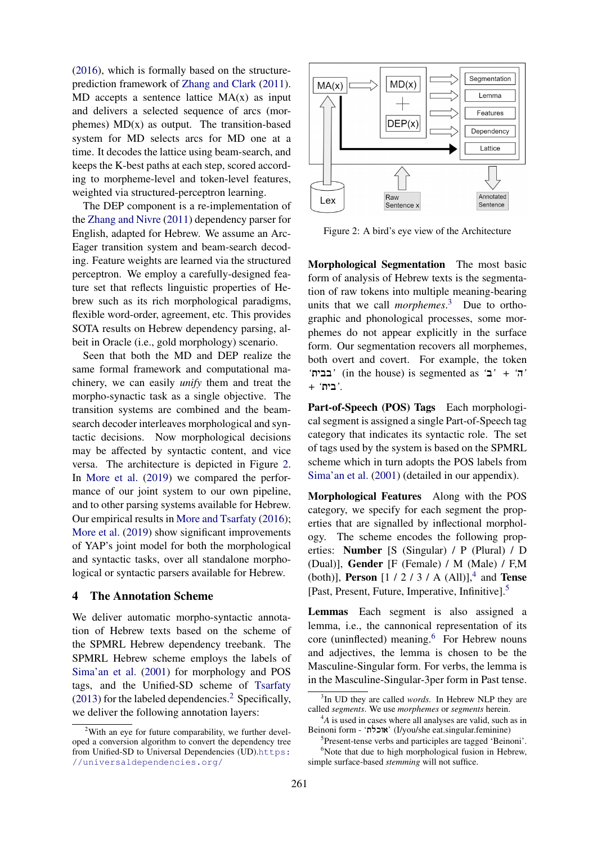[\(2016\)](#page-5-10), which is formally based on the structureprediction framework of [Zhang and Clark](#page-5-9) [\(2011\)](#page-5-9).  $MD$  accepts a sentence lattice  $MA(x)$  as input and delivers a selected sequence of arcs (morphemes)  $MD(x)$  as output. The transition-based system for MD selects arcs for MD one at a time. It decodes the lattice using beam-search, and keeps the K-best paths at each step, scored according to morpheme-level and token-level features, weighted via structured-perceptron learning.

The DEP component is a re-implementation of the [Zhang and Nivre](#page-5-12) [\(2011\)](#page-5-12) dependency parser for English, adapted for Hebrew. We assume an Arc-Eager transition system and beam-search decoding. Feature weights are learned via the structured perceptron. We employ a carefully-designed feature set that reflects linguistic properties of Hebrew such as its rich morphological paradigms, flexible word-order, agreement, etc. This provides SOTA results on Hebrew dependency parsing, albeit in Oracle (i.e., gold morphology) scenario.

Seen that both the MD and DEP realize the same formal framework and computational machinery, we can easily *unify* them and treat the morpho-synactic task as a single objective. The transition systems are combined and the beamsearch decoder interleaves morphological and syntactic decisions. Now morphological decisions may be affected by syntactic content, and vice versa. The architecture is depicted in Figure [2.](#page-2-0) In [More et al.](#page-5-8) [\(2019\)](#page-5-8) we compared the performance of our joint system to our own pipeline, and to other parsing systems available for Hebrew. Our empirical results in [More and Tsarfaty](#page-5-10) [\(2016\)](#page-5-10); [More et al.](#page-5-8) [\(2019\)](#page-5-8) show significant improvements of YAP's joint model for both the morphological and syntactic tasks, over all standalone morphological or syntactic parsers available for Hebrew.

# 4 The Annotation Scheme

We deliver automatic morpho-syntactic annotation of Hebrew texts based on the scheme of the SPMRL Hebrew dependency treebank. The SPMRL Hebrew scheme employs the labels of [Sima'an et al.](#page-5-11) [\(2001\)](#page-5-11) for morphology and POS tags, and the Unified-SD scheme of [Tsarfaty](#page-5-13)  $(2013)$  for the labeled dependencies.<sup>[2](#page-2-1)</sup> Specifically, we deliver the following annotation layers:

<span id="page-2-0"></span>

Figure 2: A bird's eye view of the Architecture

Morphological Segmentation The most basic form of analysis of Hebrew texts is the segmentation of raw tokens into multiple meaning-bearing units that we call *morphemes*. [3](#page-2-2) Due to orthographic and phonological processes, some morphemes do not appear explicitly in the surface form. Our segmentation recovers all morphemes, both overt and covert. For example, the token *'*!בבית) *'*in the house) is segmented as *'*!ב *'+*!*'* ה*'* .*'*בית!*' +*

Part-of-Speech (POS) Tags Each morphological segment is assigned a single Part-of-Speech tag category that indicates its syntactic role. The set of tags used by the system is based on the SPMRL scheme which in turn adopts the POS labels from [Sima'an et al.](#page-5-11) [\(2001\)](#page-5-11) (detailed in our appendix).

Morphological Features Along with the POS category, we specify for each segment the properties that are signalled by inflectional morphology. The scheme encodes the following properties: Number [S (Singular) / P (Plural) / D (Dual)], Gender [F (Female) / M (Male) / F,M (both)], **Person** [1 / 2 / 3 / A (All)],<sup>[4](#page-2-3)</sup> and **Tense** [Past, Present, Future, Imperative, Infinitive].[5](#page-2-4)

Lemmas Each segment is also assigned a lemma, i.e., the cannonical representation of its core (uninflected) meaning.<sup>[6](#page-2-5)</sup> For Hebrew nouns and adjectives, the lemma is chosen to be the Masculine-Singular form. For verbs, the lemma is in the Masculine-Singular-3per form in Past tense.

<span id="page-2-1"></span> $2$ With an eye for future comparability, we further developed a conversion algorithm to convert the dependency tree from Unified-SD to Universal Dependencies (UD).[https:](https://universaldependencies.org/) [//universaldependencies.org/](https://universaldependencies.org/)

<span id="page-2-2"></span><sup>3</sup> In UD they are called *words*. In Hebrew NLP they are called *segments*. We use *morphemes* or *segments* herein.

<span id="page-2-3"></span><sup>&</sup>lt;sup>4</sup>A is used in cases where all analyses are valid, such as in Beinoni form - 'אוכלת' (I/you/she eat.singular.feminine)

<span id="page-2-5"></span><span id="page-2-4"></span><sup>5</sup> Present-tense verbs and participles are tagged 'Beinoni'.  $6$ Note that due to high morphological fusion in Hebrew, simple surface-based *stemming* will not suffice.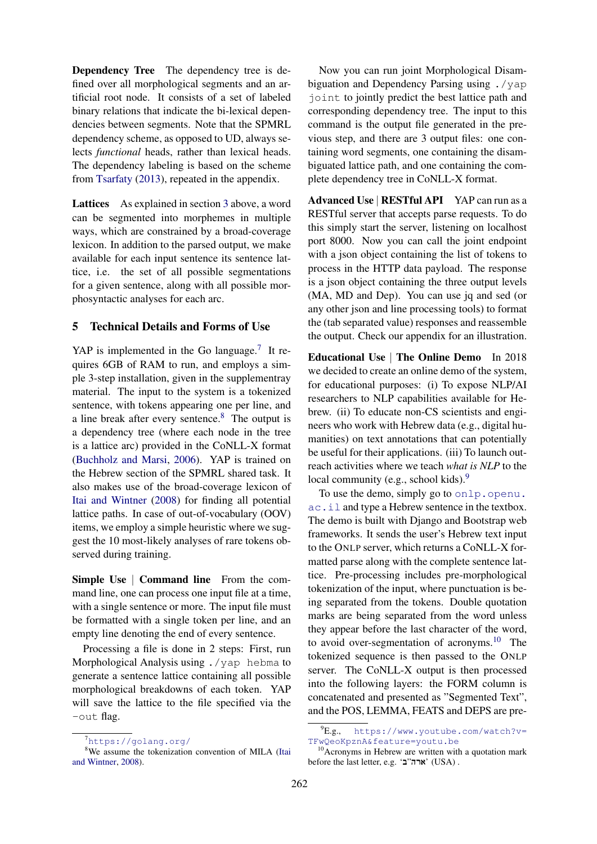Dependency Tree The dependency tree is defined over all morphological segments and an artificial root node. It consists of a set of labeled binary relations that indicate the bi-lexical dependencies between segments. Note that the SPMRL dependency scheme, as opposed to UD, always selects *functional* heads, rather than lexical heads. The dependency labeling is based on the scheme from [Tsarfaty](#page-5-13) [\(2013\)](#page-5-13), repeated in the appendix.

Lattices As explained in section [3](#page-1-2) above, a word can be segmented into morphemes in multiple ways, which are constrained by a broad-coverage lexicon. In addition to the parsed output, we make available for each input sentence its sentence lattice, i.e. the set of all possible segmentations for a given sentence, along with all possible morphosyntactic analyses for each arc.

# 5 Technical Details and Forms of Use

YAP is implemented in the Go language.<sup>[7](#page-3-0)</sup> It requires 6GB of RAM to run, and employs a simple 3-step installation, given in the supplementray material. The input to the system is a tokenized sentence, with tokens appearing one per line, and a line break after every sentence.[8](#page-3-1) The output is a dependency tree (where each node in the tree is a lattice arc) provided in the CoNLL-X format [\(Buchholz and Marsi,](#page-5-14) [2006\)](#page-5-14). YAP is trained on the Hebrew section of the SPMRL shared task. It also makes use of the broad-coverage lexicon of [Itai and Wintner](#page-5-15) [\(2008\)](#page-5-15) for finding all potential lattice paths. In case of out-of-vocabulary (OOV) items, we employ a simple heuristic where we suggest the 10 most-likely analyses of rare tokens observed during training.

Simple Use | Command line From the command line, one can process one input file at a time, with a single sentence or more. The input file must be formatted with a single token per line, and an empty line denoting the end of every sentence.

Processing a file is done in 2 steps: First, run Morphological Analysis using ./yap hebma to generate a sentence lattice containing all possible morphological breakdowns of each token. YAP will save the lattice to the file specified via the -out flag.

Now you can run joint Morphological Disambiguation and Dependency Parsing using ./yap joint to jointly predict the best lattice path and corresponding dependency tree. The input to this command is the output file generated in the previous step, and there are 3 output files: one containing word segments, one containing the disambiguated lattice path, and one containing the complete dependency tree in CoNLL-X format.

Advanced Use | RESTful API YAP can run as a RESTful server that accepts parse requests. To do this simply start the server, listening on localhost port 8000. Now you can call the joint endpoint with a json object containing the list of tokens to process in the HTTP data payload. The response is a json object containing the three output levels (MA, MD and Dep). You can use jq and sed (or any other json and line processing tools) to format the (tab separated value) responses and reassemble the output. Check our appendix for an illustration.

Educational Use | The Online Demo In 2018 we decided to create an online demo of the system, for educational purposes: (i) To expose NLP/AI researchers to NLP capabilities available for Hebrew. (ii) To educate non-CS scientists and engineers who work with Hebrew data (e.g., digital humanities) on text annotations that can potentially be useful for their applications. (iii) To launch outreach activities where we teach *what is NLP* to the local community (e.g., school kids).<sup>[9](#page-3-2)</sup>

To use the demo, simply go to [onlp.openu.](onlp.openu.ac.il) [ac.il](onlp.openu.ac.il) and type a Hebrew sentence in the textbox. The demo is built with Django and Bootstrap web frameworks. It sends the user's Hebrew text input to the ONLP server, which returns a CoNLL-X formatted parse along with the complete sentence lattice. Pre-processing includes pre-morphological tokenization of the input, where punctuation is being separated from the tokens. Double quotation marks are being separated from the word unless they appear before the last character of the word, to avoid over-segmentation of acronyms.<sup>[10](#page-3-3)</sup> The tokenized sequence is then passed to the ONLP server. The CoNLL-X output is then processed into the following layers: the FORM column is concatenated and presented as "Segmented Text", and the POS, LEMMA, FEATS and DEPS are pre-

<span id="page-3-1"></span><span id="page-3-0"></span><sup>7</sup><https://golang.org/>

<sup>&</sup>lt;sup>8</sup>We assume the tokenization convention of MILA [\(Itai](#page-5-15) [and Wintner,](#page-5-15) [2008\)](#page-5-15).

<span id="page-3-2"></span><sup>9</sup>E.g., [https://www.youtube.com/watch?v=](https://www.youtube.com/watch?v=TFwQeoKpznA&feature=youtu.be) [TFwQeoKpznA&feature=youtu.be](https://www.youtube.com/watch?v=TFwQeoKpznA&feature=youtu.be)

<span id="page-3-3"></span> $10$ Acronyms in Hebrew are written with a quotation mark before the last letter, e.g. 'ארה"ב' (USA) .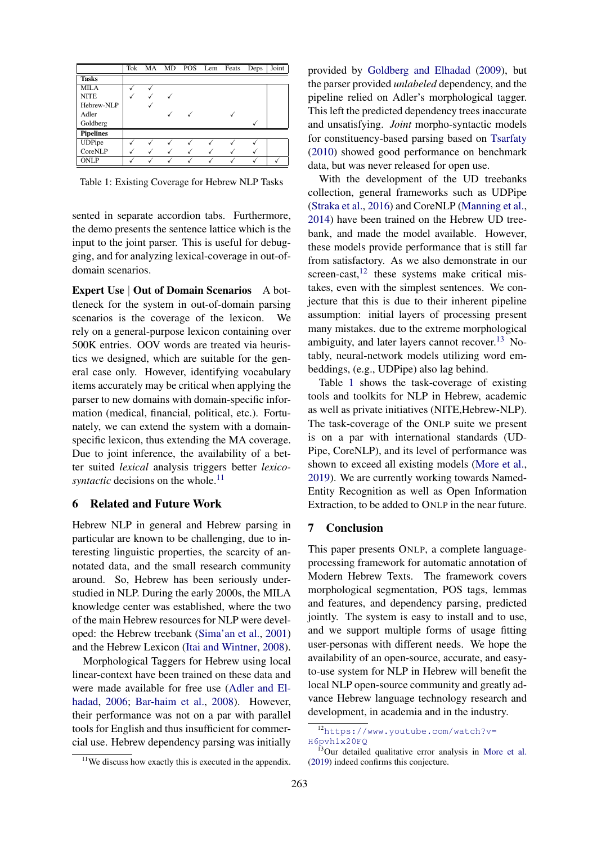<span id="page-4-3"></span>

|                  |  |  | Tok MA MD POS Lem Feats | Deps | Joint |
|------------------|--|--|-------------------------|------|-------|
| <b>Tasks</b>     |  |  |                         |      |       |
| <b>MILA</b>      |  |  |                         |      |       |
| <b>NITE</b>      |  |  |                         |      |       |
| Hebrew-NLP       |  |  |                         |      |       |
| Adler            |  |  |                         |      |       |
| Goldberg         |  |  |                         |      |       |
| <b>Pipelines</b> |  |  |                         |      |       |
| <b>UDPipe</b>    |  |  |                         |      |       |
| CoreNLP          |  |  |                         |      |       |
| <b>ONLP</b>      |  |  |                         |      |       |

Table 1: Existing Coverage for Hebrew NLP Tasks

sented in separate accordion tabs. Furthermore, the demo presents the sentence lattice which is the input to the joint parser. This is useful for debugging, and for analyzing lexical-coverage in out-ofdomain scenarios.

Expert Use | Out of Domain Scenarios A bottleneck for the system in out-of-domain parsing scenarios is the coverage of the lexicon. We rely on a general-purpose lexicon containing over 500K entries. OOV words are treated via heuristics we designed, which are suitable for the general case only. However, identifying vocabulary items accurately may be critical when applying the parser to new domains with domain-specific information (medical, financial, political, etc.). Fortunately, we can extend the system with a domainspecific lexicon, thus extending the MA coverage. Due to joint inference, the availability of a better suited *lexical* analysis triggers better *lexicosyntactic* decisions on the whole.<sup>[11](#page-4-0)</sup>

## 6 Related and Future Work

Hebrew NLP in general and Hebrew parsing in particular are known to be challenging, due to interesting linguistic properties, the scarcity of annotated data, and the small research community around. So, Hebrew has been seriously understudied in NLP. During the early 2000s, the MILA knowledge center was established, where the two of the main Hebrew resources for NLP were developed: the Hebrew treebank [\(Sima'an et al.,](#page-5-11) [2001\)](#page-5-11) and the Hebrew Lexicon [\(Itai and Wintner,](#page-5-15) [2008\)](#page-5-15).

Morphological Taggers for Hebrew using local linear-context have been trained on these data and were made available for free use [\(Adler and El](#page-5-16)[hadad,](#page-5-16) [2006;](#page-5-16) [Bar-haim et al.,](#page-5-17) [2008\)](#page-5-17). However, their performance was not on a par with parallel tools for English and thus insufficient for commercial use. Hebrew dependency parsing was initially provided by [Goldberg and Elhadad](#page-5-18) [\(2009\)](#page-5-18), but the parser provided *unlabeled* dependency, and the pipeline relied on Adler's morphological tagger. This left the predicted dependency trees inaccurate and unsatisfying. *Joint* morpho-syntactic models for constituency-based parsing based on [Tsarfaty](#page-5-19) [\(2010\)](#page-5-19) showed good performance on benchmark data, but was never released for open use.

With the development of the UD treebanks collection, general frameworks such as UDPipe [\(Straka et al.,](#page-5-2) [2016\)](#page-5-2) and CoreNLP [\(Manning et al.,](#page-5-1) [2014\)](#page-5-1) have been trained on the Hebrew UD treebank, and made the model available. However, these models provide performance that is still far from satisfactory. As we also demonstrate in our screen-cast, $12$  these systems make critical mistakes, even with the simplest sentences. We conjecture that this is due to their inherent pipeline assumption: initial layers of processing present many mistakes. due to the extreme morphological ambiguity, and later layers cannot recover. $^{13}$  $^{13}$  $^{13}$  Notably, neural-network models utilizing word embeddings, (e.g., UDPipe) also lag behind.

Table [1](#page-4-3) shows the task-coverage of existing tools and toolkits for NLP in Hebrew, academic as well as private initiatives (NITE,Hebrew-NLP). The task-coverage of the ONLP suite we present is on a par with international standards (UD-Pipe, CoreNLP), and its level of performance was shown to exceed all existing models [\(More et al.,](#page-5-8) [2019\)](#page-5-8). We are currently working towards Named-Entity Recognition as well as Open Information Extraction, to be added to ONLP in the near future.

### 7 Conclusion

This paper presents ONLP, a complete languageprocessing framework for automatic annotation of Modern Hebrew Texts. The framework covers morphological segmentation, POS tags, lemmas and features, and dependency parsing, predicted jointly. The system is easy to install and to use, and we support multiple forms of usage fitting user-personas with different needs. We hope the availability of an open-source, accurate, and easyto-use system for NLP in Hebrew will benefit the local NLP open-source community and greatly advance Hebrew language technology research and development, in academia and in the industry.

<span id="page-4-1"></span><sup>12</sup>[https://www.youtube.com/watch?v=](https://www.youtube.com/watch?v=H6pvh1x20FQ) [H6pvh1x20FQ](https://www.youtube.com/watch?v=H6pvh1x20FQ)

<span id="page-4-2"></span><sup>&</sup>lt;sup>13</sup>Our detailed qualitative error analysis in [More et al.](#page-5-8) [\(2019\)](#page-5-8) indeed confirms this conjecture.

<span id="page-4-0"></span> $11$ We discuss how exactly this is executed in the appendix.